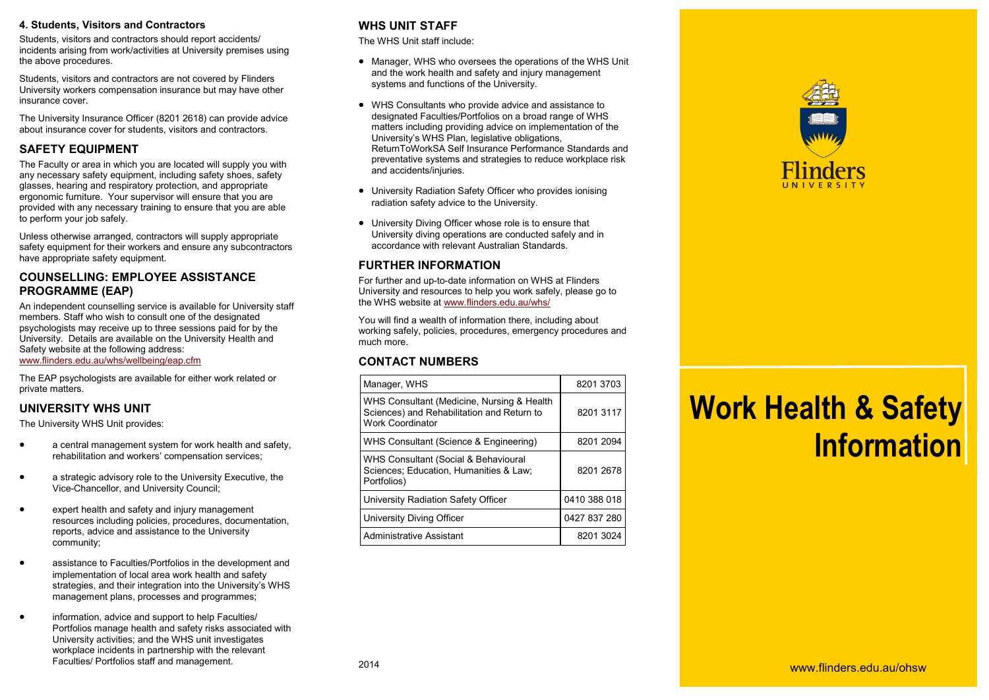#### **4. Students, Visitors and Contractors**

Students, visitors and contractors should report accidents/ incidents arising from work/activities at University premises using the above procedures.

Students, visitors and contractors are not covered by Flinders University workers compensation insurance but may have other insurance cover.

The University Insurance Officer (8201 2618) can provide advice about insurance cover for students, visitors and contractors.

## **SAFETY EQUIPMENT**

The Faculty or area in which you are located will supply you with any necessary safety equipment, including safety shoes, safety glasses, hearing and respiratory protection, and appropriate ergonomic furniture. Your supervisor will ensure that you are provided with any necessary training to ensure that you are able to perform your job safely.

Unless otherwise arranged, contractors will supply appropriate safety equipment for their workers and ensure any subcontractors have appropriate safety equipment.

## **COUNSELLING: EMPLOYEE ASSISTANCE PROGRAMME (EAP)**

An independent counselling service is available for University staff members. Staff who wish to consult one of the designated psychologists may receive up to three sessions paid for by the University. Details are available on the University Health and Safety website at the following address: [www.flinders.edu.au/whs/wellbeing/eap.cfm](http://www.flinders.edu.au/whs/wellbeing/eap.cfm)

The EAP psychologists are available for either work related or private matters.

## **UNIVERSITY WHS UNIT**

The University WHS Unit provides:

- a central management system for work health and safety, rehabilitation and workers' compensation services;
- a strategic advisory role to the University Executive, the Vice-Chancellor, and University Council;
- expert health and safety and injury management resources including policies, procedures, documentation, reports, advice and assistance to the University community;
- assistance to Faculties/Portfolios in the development and implementation of local area work health and safety strategies, and their integration into the University's WHS management plans, processes and programmes;
- information, advice and support to help Faculties/ Portfolios manage health and safety risks associated with University activities; and the WHS unit investigates workplace incidents in partnership with the relevant Faculties/ Portfolios staff and management.

## **WHS UNIT STAFF**

The WHS Unit staff include:

- Manager, WHS who oversees the operations of the WHS Unit and the work health and safety and injury management systems and functions of the University.
- WHS Consultants who provide advice and assistance to designated Faculties/Portfolios on a broad range of WHS matters including providing advice on implementation of the University's WHS Plan, legislative obligations, ReturnToWorkSA Self Insurance Performance Standards and preventative systems and strategies to reduce workplace risk and accidents/injuries.
- University Radiation Safety Officer who provides ionising radiation safety advice to the University.
- University Diving Officer whose role is to ensure that University diving operations are conducted safely and in accordance with relevant Australian Standards.

# **FURTHER INFORMATION**

For further and up-to-date information on WHS at Flinders University and resources to help you work safely, please go to the WHS website at [www.flinders.edu.au/whs/](http://www.flinders.edu.au/whs/)

You will find a wealth of information there, including about working safely, policies, procedures, emergency procedures and much more.

## **CONTACT NUMBERS**

| Manager, WHS                                                                                                        | 8201 3703    |
|---------------------------------------------------------------------------------------------------------------------|--------------|
| WHS Consultant (Medicine, Nursing & Health<br>Sciences) and Rehabilitation and Return to<br><b>Work Coordinator</b> | 8201 3117    |
| WHS Consultant (Science & Engineering)                                                                              | 8201 2094    |
| WHS Consultant (Social & Behavioural<br>Sciences: Education, Humanities & Law;<br>Portfolios)                       | 8201 2678    |
| University Radiation Safety Officer                                                                                 | 0410 388 018 |
| University Diving Officer                                                                                           | 0427 837 280 |
| <b>Administrative Assistant</b>                                                                                     | 8201 3024    |



# **Work Health & Safety Information**